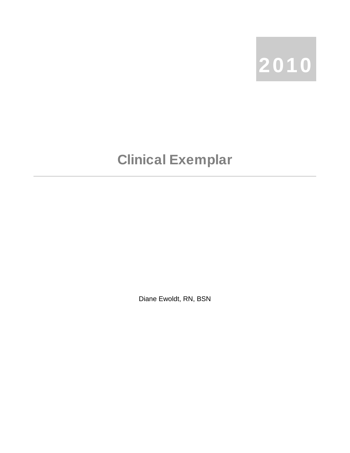

## Clinical Exemplar

Diane Ewoldt, RN, BSN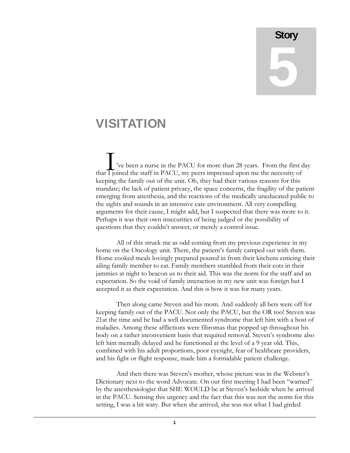## **Story** 5

## VISITATION

've been a nurse in the PACU for more than 28 years. From the first day that  $\overline{1}$  joined the staff in PACU, my peers impressed upon me the necessity of keeping the family out of the unit. Oh, they had their various reasons for this mandate; the lack of patient privacy, the space concerns, the fragility of the patient emerging from anesthesia, and the reactions of the medically uneducated public to the sights and sounds in an intensive care environment. All very compelling arguments for their cause, I might add, but I suspected that there was more to it. Perhaps it was their own insecurities of being judged or the possibility of questions that they couldn't answer, or merely a control issue.  $\prod_{\substack{\text{iv}}\\text{if join}}$ 

All of this struck me as odd coming from my previous experience in my home on the Oncology unit. There, the patient's family camped out with them. Home cooked meals lovingly prepared poured in from their kitchens enticing their ailing family member to eat. Family members stumbled from their cots in their jammies at night to beacon us to their aid. This was the norm for the staff and an expectation. So the void of family interaction in my new unit was foreign but I accepted it as their expectation. And this is how it was for many years.

Then along came Steven and his mom. And suddenly all bets were off for keeping family out of the PACU. Not only the PACU, but the OR too! Steven was 21at the time and he had a well documented syndrome that left him with a host of maladies. Among these afflictions were fibromas that popped up throughout his body on a rather inconvenient basis that required removal. Steven's syndrome also left him mentally delayed and he functioned at the level of a 9 year old. This, combined with his adult proportions, poor eyesight, fear of healthcare providers, and his fight or flight response, made him a formidable patient challenge.

And then there was Steven's mother, whose picture was in the Webster's Dictionary next to the word Advocate. On our first meeting I had been "warned" by the anesthesiologist that SHE WOULD be at Steven's bedside when he arrived in the PACU. Sensing this urgency and the fact that this was not the norm for this setting, I was a bit wary. But when she arrived, she was not what I had girded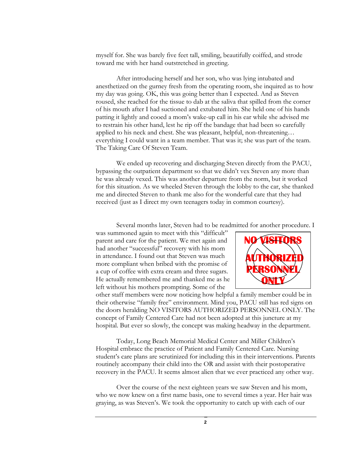myself for. She was barely five feet tall, smiling, beautifully coiffed, and strode toward me with her hand outstretched in greeting.

After introducing herself and her son, who was lying intubated and anesthetized on the gurney fresh from the operating room, she inquired as to how my day was going. OK, this was going better than I expected. And as Steven roused, she reached for the tissue to dab at the saliva that spilled from the corner of his mouth after I had suctioned and extubated him. She held one of his hands patting it lightly and cooed a mom's wake-up call in his ear while she advised me to restrain his other hand, lest he rip off the bandage that had been so carefully applied to his neck and chest. She was pleasant, helpful, non-threatening… everything I could want in a team member. That was it; she was part of the team. The Taking Care Of Steven Team.

We ended up recovering and discharging Steven directly from the PACU, bypassing the outpatient department so that we didn't vex Steven any more than he was already vexed. This was another departure from the norm, but it worked for this situation. As we wheeled Steven through the lobby to the car, she thanked me and directed Steven to thank me also for the wonderful care that they had received (just as I direct my own teenagers today in common courtesy).

Several months later, Steven had to be readmitted for another procedure. I

was summoned again to meet with this "difficult" parent and care for the patient. We met again and had another "successful" recovery with his mom in attendance. I found out that Steven was much more compliant when bribed with the promise of a cup of coffee with extra cream and three sugars. He actually remembered me and thanked me as he left without his mothers prompting. Some of the



other staff members were now noticing how helpful a family member could be in their otherwise "family free" environment. Mind you, PACU still has red signs on the doors heralding NO VISITORS AUTHORIZED PERSONNEL ONLY. The concept of Family Centered Care had not been adopted at this juncture at my hospital. But ever so slowly, the concept was making headway in the department.

Today, Long Beach Memorial Medical Center and Miller Children's Hospital embrace the practice of Patient and Family Centered Care. Nursing student's care plans are scrutinized for including this in their interventions. Parents routinely accompany their child into the OR and assist with their postoperative recovery in the PACU. It seems almost alien that we ever practiced any other way.

Over the course of the next eighteen years we saw Steven and his mom, who we now knew on a first name basis, one to several times a year. Her hair was graying, as was Steven's. We took the opportunity to catch up with each of our